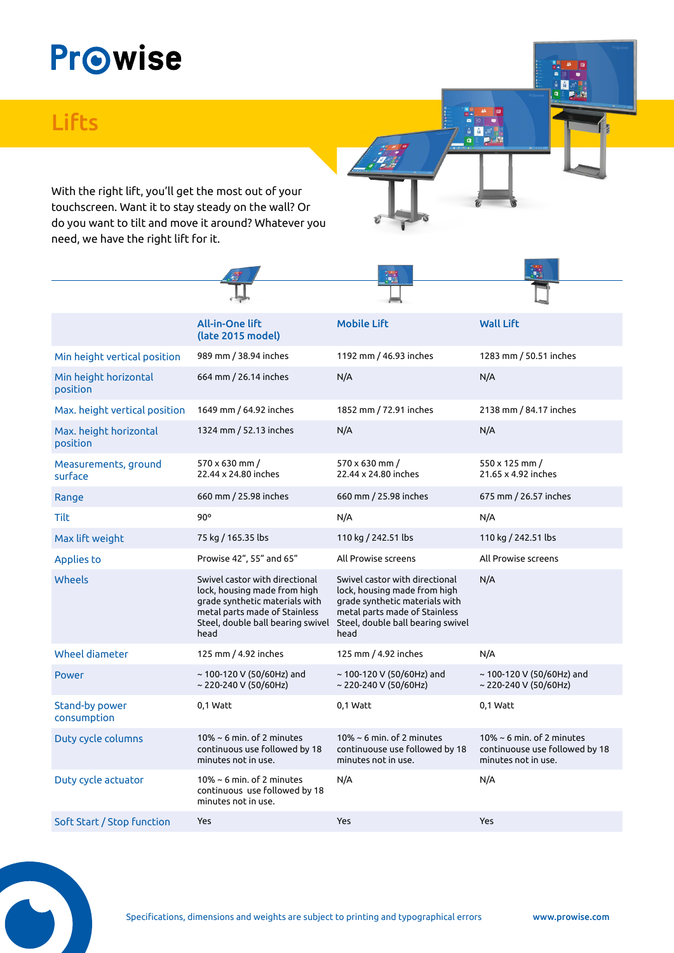## **Prowise**

## **Lifts**

With the right lift, you'll get the most out of your touchscreen. Want it to stay steady on the wall? Or do you want to tilt and move it around? Whatever you need, we have the right lift for it.

|                                    | <b>All-in-One lift</b><br>(late 2015 model)                                                                                                                                    | <b>Mobile Lift</b>                                                                                                                                                             | <b>Wall Lift</b>                                                                         |
|------------------------------------|--------------------------------------------------------------------------------------------------------------------------------------------------------------------------------|--------------------------------------------------------------------------------------------------------------------------------------------------------------------------------|------------------------------------------------------------------------------------------|
| Min height vertical position       | 989 mm / 38.94 inches                                                                                                                                                          | 1192 mm / 46.93 inches                                                                                                                                                         | 1283 mm / 50.51 inches                                                                   |
| Min height horizontal<br>position  | 664 mm / 26.14 inches                                                                                                                                                          | N/A                                                                                                                                                                            | N/A                                                                                      |
| Max. height vertical position      | 1649 mm / 64.92 inches                                                                                                                                                         | 1852 mm / 72.91 inches                                                                                                                                                         | 2138 mm / 84.17 inches                                                                   |
| Max. height horizontal<br>position | 1324 mm / 52.13 inches                                                                                                                                                         | N/A                                                                                                                                                                            | N/A                                                                                      |
| Measurements, ground<br>surface    | 570 x 630 mm /<br>22.44 x 24.80 inches                                                                                                                                         | 570 x 630 mm /<br>22.44 x 24.80 inches                                                                                                                                         | 550 x 125 mm /<br>21.65 x 4.92 inches                                                    |
| Range                              | 660 mm / 25.98 inches                                                                                                                                                          | 660 mm / 25.98 inches                                                                                                                                                          | 675 mm / 26.57 inches                                                                    |
| <b>Tilt</b>                        | $90^\circ$                                                                                                                                                                     | N/A                                                                                                                                                                            | N/A                                                                                      |
| Max lift weight                    | 75 kg / 165.35 lbs                                                                                                                                                             | 110 kg / 242.51 lbs                                                                                                                                                            | 110 kg / 242.51 lbs                                                                      |
| <b>Applies to</b>                  | Prowise 42", 55" and 65"                                                                                                                                                       | All Prowise screens                                                                                                                                                            | All Prowise screens                                                                      |
| Wheels                             | Swivel castor with directional<br>lock, housing made from high<br>grade synthetic materials with<br>metal parts made of Stainless<br>Steel, double ball bearing swivel<br>head | Swivel castor with directional<br>lock, housing made from high<br>grade synthetic materials with<br>metal parts made of Stainless<br>Steel, double ball bearing swivel<br>head | N/A                                                                                      |
| Wheel diameter                     | 125 mm / 4.92 inches                                                                                                                                                           | 125 mm / 4.92 inches                                                                                                                                                           | N/A                                                                                      |
| <b>Power</b>                       | ~ 100-120 V (50/60Hz) and<br>~ 220-240 V (50/60Hz)                                                                                                                             | $\sim$ 100-120 V (50/60Hz) and<br>~ 220-240 V (50/60Hz)                                                                                                                        | $\sim$ 100-120 V (50/60Hz) and<br>~ 220-240 V (50/60Hz)                                  |
| Stand-by power<br>consumption      | 0,1 Watt                                                                                                                                                                       | 0,1 Watt                                                                                                                                                                       | 0,1 Watt                                                                                 |
| Duty cycle columns                 | $10\% \sim 6$ min. of 2 minutes<br>continuous use followed by 18<br>minutes not in use.                                                                                        | $10\% \sim 6$ min. of 2 minutes<br>continuouse use followed by 18<br>minutes not in use.                                                                                       | $10\% \sim 6$ min. of 2 minutes<br>continuouse use followed by 18<br>minutes not in use. |
| Duty cycle actuator                | 10% $\sim$ 6 min. of 2 minutes<br>continuous use followed by 18<br>minutes not in use.                                                                                         | N/A                                                                                                                                                                            | N/A                                                                                      |
| Soft Start / Stop function         | Yes                                                                                                                                                                            | Yes                                                                                                                                                                            | <b>Yes</b>                                                                               |